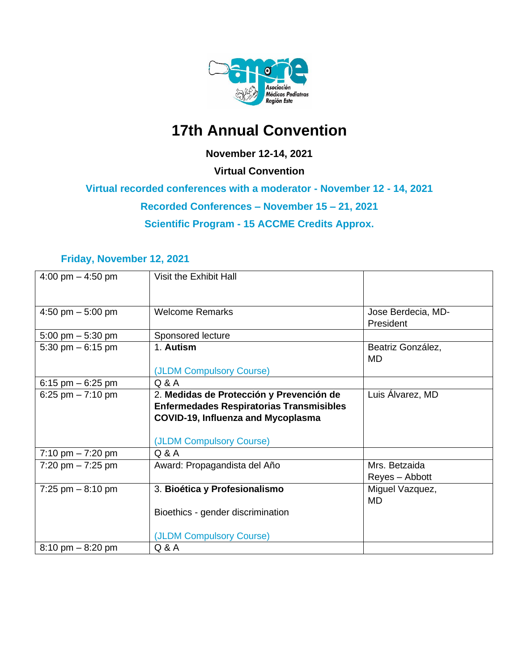

# **17th Annual Convention**

#### **November 12-14, 2021**

**Virtual Convention**

**Virtual recorded conferences with a moderator - November 12 - 14, 2021**

**Recorded Conferences – November 15 – 21, 2021**

**Scientific Program - 15 ACCME Credits Approx.**

#### **Friday, November 12, 2021**

| 4:00 pm $-$ 4:50 pm                 | Visit the Exhibit Hall                          |                                |
|-------------------------------------|-------------------------------------------------|--------------------------------|
| 4:50 pm $-$ 5:00 pm                 | <b>Welcome Remarks</b>                          | Jose Berdecia, MD-             |
|                                     |                                                 | President                      |
| 5:00 pm $-$ 5:30 pm                 | Sponsored lecture                               |                                |
| 5:30 pm $-6:15$ pm                  | 1. Autism                                       | Beatriz González,<br><b>MD</b> |
|                                     | (JLDM Compulsory Course)                        |                                |
| 6:15 pm $-6:25$ pm                  | Q & A                                           |                                |
| 6:25 pm $-7:10$ pm                  | 2. Medidas de Protección y Prevención de        | Luis Alvarez, MD               |
|                                     | <b>Enfermedades Respiratorias Transmisibles</b> |                                |
|                                     | <b>COVID-19, Influenza and Mycoplasma</b>       |                                |
|                                     |                                                 |                                |
|                                     | (JLDM Compulsory Course)                        |                                |
| 7:10 pm $-7:20$ pm                  | Q & A                                           |                                |
| $7:20$ pm $-7:25$ pm                | Award: Propagandista del Año                    | Mrs. Betzaida                  |
|                                     |                                                 | Reyes - Abbott                 |
| 7:25 pm $-8:10$ pm                  | 3. Bioética y Profesionalismo                   | Miguel Vazquez,                |
|                                     |                                                 | <b>MD</b>                      |
|                                     | Bioethics - gender discrimination               |                                |
|                                     |                                                 |                                |
|                                     | (JLDM Compulsory Course)                        |                                |
| $8:10 \text{ pm} - 8:20 \text{ pm}$ | $Q$ & $A$                                       |                                |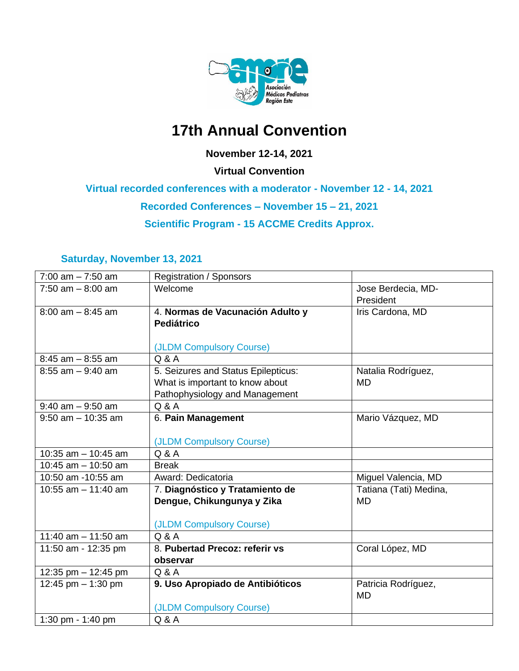

# **17th Annual Convention**

#### **November 12-14, 2021**

**Virtual Convention**

**Virtual recorded conferences with a moderator - November 12 - 14, 2021**

**Recorded Conferences – November 15 – 21, 2021**

**Scientific Program - 15 ACCME Credits Approx.**

#### **Saturday, November 13, 2021**

| $7:00$ am $-7:50$ am  | <b>Registration / Sponsors</b>      |                        |
|-----------------------|-------------------------------------|------------------------|
| $7:50$ am $-8:00$ am  | Welcome                             | Jose Berdecia, MD-     |
|                       |                                     | President              |
| $8:00$ am $-8:45$ am  | 4. Normas de Vacunación Adulto y    | Iris Cardona, MD       |
|                       | Pediátrico                          |                        |
|                       |                                     |                        |
|                       | (JLDM Compulsory Course)            |                        |
| $8:45$ am $-8:55$ am  | Q & A                               |                        |
| $8:55$ am $-9:40$ am  | 5. Seizures and Status Epilepticus: | Natalia Rodríguez,     |
|                       | What is important to know about     | <b>MD</b>              |
|                       | Pathophysiology and Management      |                        |
| $9:40$ am $-9:50$ am  | Q & A                               |                        |
| $9:50$ am $-10:35$ am | 6. Pain Management                  | Mario Vázquez, MD      |
|                       |                                     |                        |
|                       | (JLDM Compulsory Course)            |                        |
| 10:35 am $-$ 10:45 am | Q & A                               |                        |
| 10:45 am $-$ 10:50 am | <b>Break</b>                        |                        |
| 10:50 am -10:55 am    | Award: Dedicatoria                  | Miguel Valencia, MD    |
| 10:55 am $-$ 11:40 am | 7. Diagnóstico y Tratamiento de     | Tatiana (Tati) Medina, |
|                       | Dengue, Chikungunya y Zika          | <b>MD</b>              |
|                       |                                     |                        |
|                       | (JLDM Compulsory Course)            |                        |
| 11:40 am $-$ 11:50 am | Q & A                               |                        |
| 11:50 am - 12:35 pm   | 8. Pubertad Precoz: referir vs      | Coral López, MD        |
|                       | observar                            |                        |
| 12:35 pm $-$ 12:45 pm | Q & A                               |                        |
| 12:45 pm $-$ 1:30 pm  | 9. Uso Apropiado de Antibióticos    | Patricia Rodríguez,    |
|                       |                                     | <b>MD</b>              |
|                       | (JLDM Compulsory Course)            |                        |
| 1:30 pm - 1:40 pm     | Q & A                               |                        |